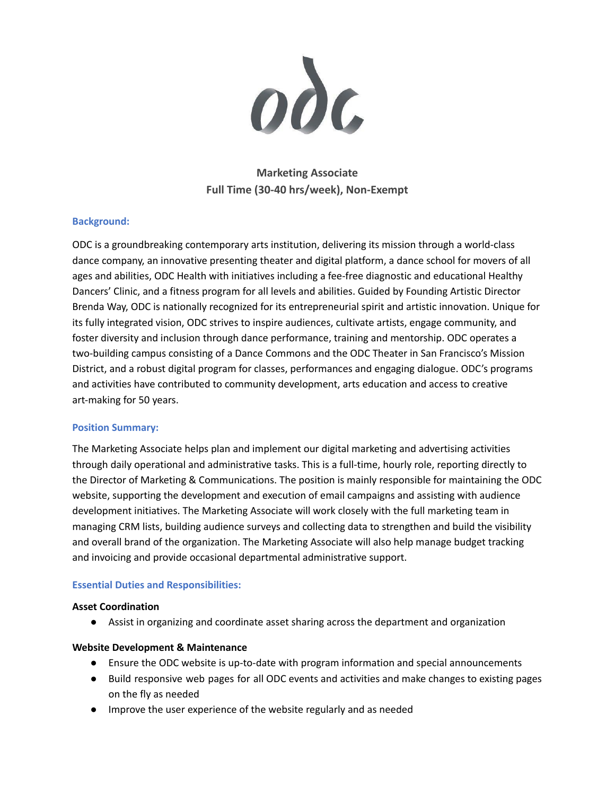$\boldsymbol{0}$ 

# **Marketing Associate Full Time (30-40 hrs/week), Non-Exempt**

### **Background:**

ODC is a groundbreaking contemporary arts institution, delivering its mission through a world-class dance company, an innovative presenting theater and digital platform, a dance school for movers of all ages and abilities, ODC Health with initiatives including a fee-free diagnostic and educational Healthy Dancers' Clinic, and a fitness program for all levels and abilities. Guided by Founding Artistic Director Brenda Way, ODC is nationally recognized for its entrepreneurial spirit and artistic innovation. Unique for its fully integrated vision, ODC strives to inspire audiences, cultivate artists, engage community, and foster diversity and inclusion through dance performance, training and mentorship. ODC operates a two-building campus consisting of a Dance Commons and the ODC Theater in San Francisco's Mission District, and a robust digital program for classes, performances and engaging dialogue. ODC's programs and activities have contributed to community development, arts education and access to creative art-making for 50 years.

#### **Position Summary:**

The Marketing Associate helps plan and implement our digital marketing and advertising activities through daily operational and administrative tasks. This is a full-time, hourly role, reporting directly to the Director of Marketing & Communications. The position is mainly responsible for maintaining the ODC website, supporting the development and execution of email campaigns and assisting with audience development initiatives. The Marketing Associate will work closely with the full marketing team in managing CRM lists, building audience surveys and collecting data to strengthen and build the visibility and overall brand of the organization. The Marketing Associate will also help manage budget tracking and invoicing and provide occasional departmental administrative support.

#### **Essential Duties and Responsibilities:**

#### **Asset Coordination**

● Assist in organizing and coordinate asset sharing across the department and organization

#### **Website Development & Maintenance**

- Ensure the ODC website is up-to-date with program information and special announcements
- Build responsive web pages for all ODC events and activities and make changes to existing pages on the fly as needed
- Improve the user experience of the website regularly and as needed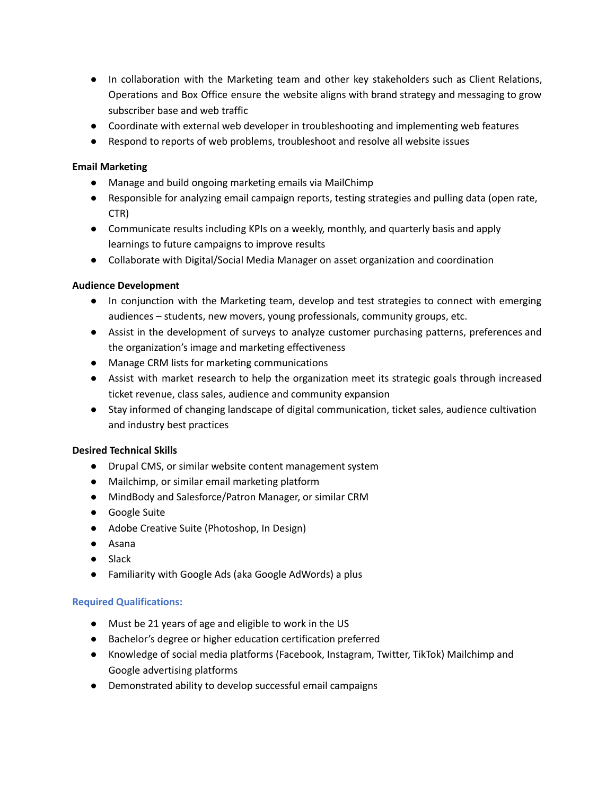- In collaboration with the Marketing team and other key stakeholders such as Client Relations, Operations and Box Office ensure the website aligns with brand strategy and messaging to grow subscriber base and web traffic
- Coordinate with external web developer in troubleshooting and implementing web features
- Respond to reports of web problems, troubleshoot and resolve all website issues

# **Email Marketing**

- Manage and build ongoing marketing emails via MailChimp
- Responsible for analyzing email campaign reports, testing strategies and pulling data (open rate, CTR)
- Communicate results including KPIs on a weekly, monthly, and quarterly basis and apply learnings to future campaigns to improve results
- Collaborate with Digital/Social Media Manager on asset organization and coordination

### **Audience Development**

- In conjunction with the Marketing team, develop and test strategies to connect with emerging audiences – students, new movers, young professionals, community groups, etc.
- Assist in the development of surveys to analyze customer purchasing patterns, preferences and the organization's image and marketing effectiveness
- Manage CRM lists for marketing communications
- Assist with market research to help the organization meet its strategic goals through increased ticket revenue, class sales, audience and community expansion
- Stay informed of changing landscape of digital communication, ticket sales, audience cultivation and industry best practices

# **Desired Technical Skills**

- Drupal CMS, or similar website content management system
- Mailchimp, or similar email marketing platform
- MindBody and Salesforce/Patron Manager, or similar CRM
- Google Suite
- Adobe Creative Suite (Photoshop, In Design)
- Asana
- Slack
- Familiarity with Google Ads (aka Google AdWords) a plus

# **Required Qualifications:**

- Must be 21 years of age and eligible to work in the US
- Bachelor's degree or higher education certification preferred
- Knowledge of social media platforms (Facebook, Instagram, Twitter, TikTok) Mailchimp and Google advertising platforms
- Demonstrated ability to develop successful email campaigns